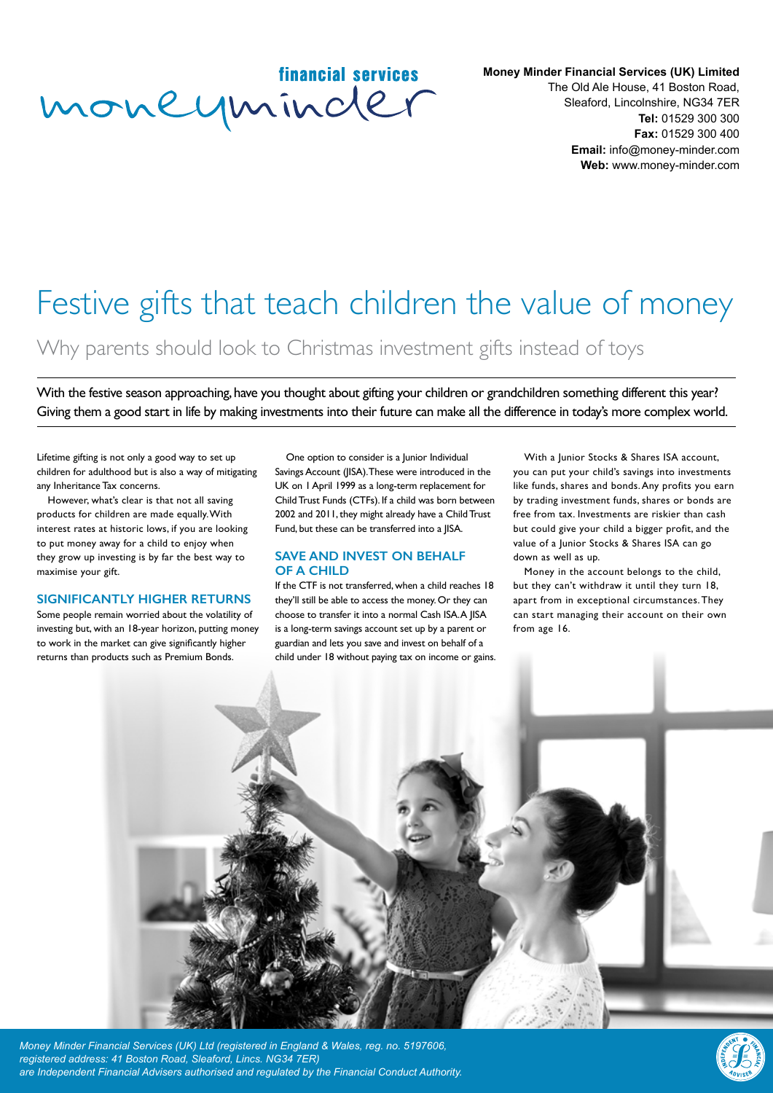## financial services moneyminder

**Money Minder Financial Services (UK) Limited** The Old Ale House, 41 Boston Road, Sleaford, Lincolnshire, NG34 7ER **Tel:** 01529 300 300 **Fax:** 01529 300 400 **Email:** info@money-minder.com **Web:** www.money-minder.com

# Festive gifts that teach children the value of money

Why parents should look to Christmas investment gifts instead of toys

With the festive season approaching, have you thought about gifting your children or grandchildren something different this year? Giving them a good start in life by making investments into their future can make all the difference in today's more complex world.

Lifetime gifting is not only a good way to set up children for adulthood but is also a way of mitigating any Inheritance Tax concerns.

However, what's clear is that not all saving products for children are made equally. With interest rates at historic lows, if you are looking to put money away for a child to enjoy when they grow up investing is by far the best way to maximise your gift.

#### **SIGNIFICANTLY HIGHER RETURNS**

Some people remain worried about the volatility of investing but, with an 18-year horizon, putting money to work in the market can give significantly higher returns than products such as Premium Bonds.

One option to consider is a Junior Individual Savings Account (JISA). These were introduced in the UK on 1 April 1999 as a long-term replacement for Child Trust Funds (CTFs). If a child was born between 2002 and 2011, they might already have a Child Trust Fund, but these can be transferred into a JISA.

#### **SAVE AND INVEST ON BEHALF OF A CHILD**

If the CTF is not transferred, when a child reaches 18 they'll still be able to access the money. Or they can choose to transfer it into a normal Cash ISA. A JISA is a long-term savings account set up by a parent or guardian and lets you save and invest on behalf of a

With a Junior Stocks & Shares ISA account, you can put your child's savings into investments like funds, shares and bonds. Any profits you earn by trading investment funds, shares or bonds are free from tax. Investments are riskier than cash but could give your child a bigger profit, and the value of a Junior Stocks & Shares ISA can go down as well as up.

Money in the account belongs to the child, but they can't withdraw it until they turn 18, apart from in exceptional circumstances. They can start managing their account on their own from age 16.



*Money Minder Financial Services (UK) Ltd (registered in England & Wales, reg. no. 5197606, registered address: 41 Boston Road, Sleaford, Lincs. NG34 7ER) are Independent Financial Advisers authorised and regulated by the Financial Conduct Authority.*